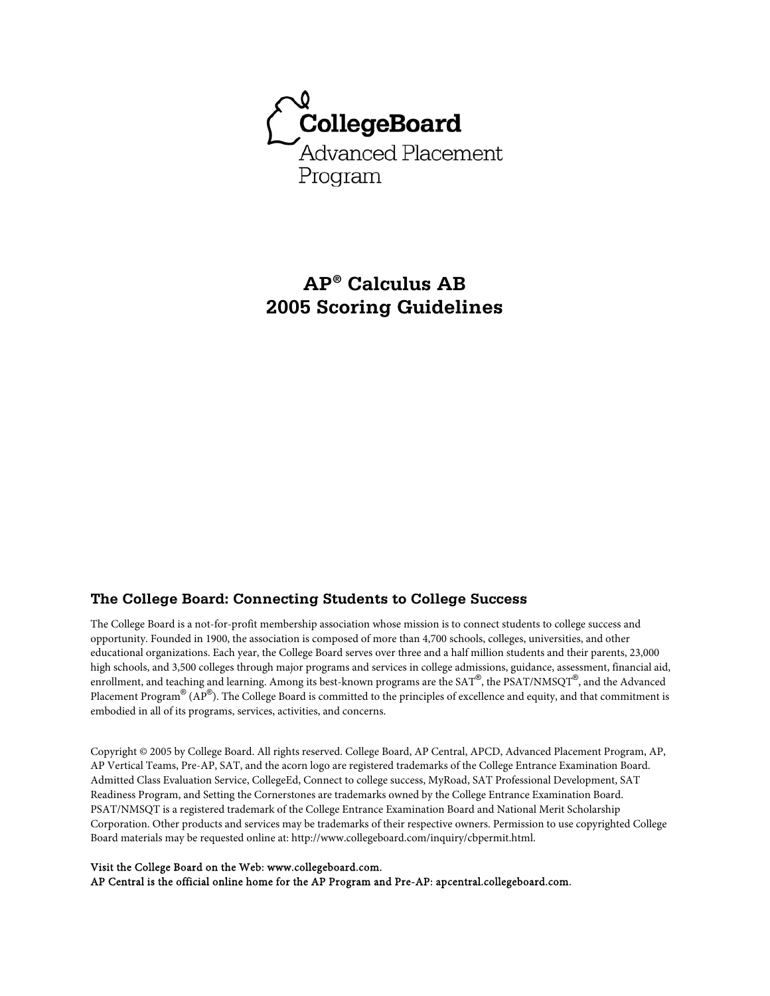

# **AP® Calculus AB 2005 Scoring Guidelines**

### **The College Board: Connecting Students to College Success**

The College Board is a not-for-profit membership association whose mission is to connect students to college success and opportunity. Founded in 1900, the association is composed of more than 4,700 schools, colleges, universities, and other educational organizations. Each year, the College Board serves over three and a half million students and their parents, 23,000 high schools, and 3,500 colleges through major programs and services in college admissions, guidance, assessment, financial aid, enrollment, and teaching and learning. Among its best-known programs are the SAT®, the PSAT/NMSQT®, and the Advanced Placement Program $^\circledR$  (AP $^\circledR$ ). The College Board is committed to the principles of excellence and equity, and that commitment is embodied in all of its programs, services, activities, and concerns.

Copyright © 2005 by College Board. All rights reserved. College Board, AP Central, APCD, Advanced Placement Program, AP, AP Vertical Teams, Pre-AP, SAT, and the acorn logo are registered trademarks of the College Entrance Examination Board. Admitted Class Evaluation Service, CollegeEd, Connect to college success, MyRoad, SAT Professional Development, SAT Readiness Program, and Setting the Cornerstones are trademarks owned by the College Entrance Examination Board. PSAT/NMSQT is a registered trademark of the College Entrance Examination Board and National Merit Scholarship Corporation. Other products and services may be trademarks of their respective owners. Permission to use copyrighted College Board materials may be requested online at: http://www.collegeboard.com/inquiry/cbpermit.html.

#### Visit the College Board on the Web: www.collegeboard.com.

AP Central is the official online home for the AP Program and Pre-AP: apcentral.collegeboard.com.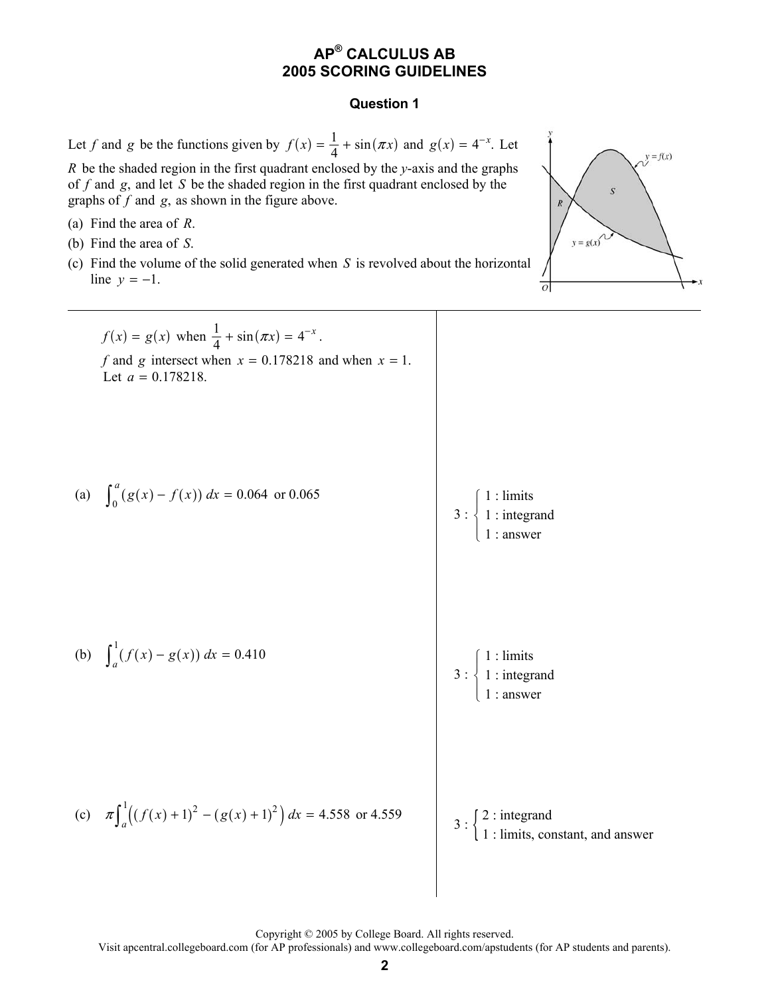### **Question 1**

Let *f* and *g* be the functions given by  $f(x) = \frac{1}{4} + \sin(\pi x)$  and  $g(x) = 4^{-x}$ . Let *R* be the shaded region in the first quadrant enclosed by the *y*-axis and the graphs of *f* and *g*, and let *S* be the shaded region in the first quadrant enclosed by the graphs of *f* and *g*, as shown in the figure above. (a) Find the area of *R*. (b) Find the area of *S*. (c) Find the volume of the solid generated when *S* is revolved about the horizontal line  $y = -1$ .

 $y = f(x)$  $y = g(x)$  $\overline{o}$ 

 $f(x) = g(x)$  when  $\frac{1}{4} + \sin(\pi x) = 4^{-x}$ . *f* and *g* intersect when  $x = 0.178218$  and when  $x = 1$ . Let  $a = 0.178218$ . (a)  $\int_0^a (g(x) - f(x)) dx = 0.064$  or 0.065 3 : 1 : limits 1 : integrand 1 : answer ⎧  $\frac{1}{2}$ ⎨  $\overline{a}$  $\overline{a}$ (b)  $\int_a^1 (f(x) - g(x)) dx = 0.410$ 3 : 1 : limits 1 : integrand 1 : answer  $\sqrt{2}$  $\overline{ }$ ⎨  $\overline{a}$  $\overline{a}$ (c)  $\pi \int_{a}^{1} \left( (f(x) + 1)^{2} - (g(x) + 1)^{2} \right) dx = 4.558$  or 4.559 [2 : integrand

$$
\left\{ 1 : \text{limits, constant, and answer} \right\}
$$

Copyright © 2005 by College Board. All rights reserved.

Visit apcentral.collegeboard.com (for AP professionals) and www.collegeboard.com/apstudents (for AP students and parents).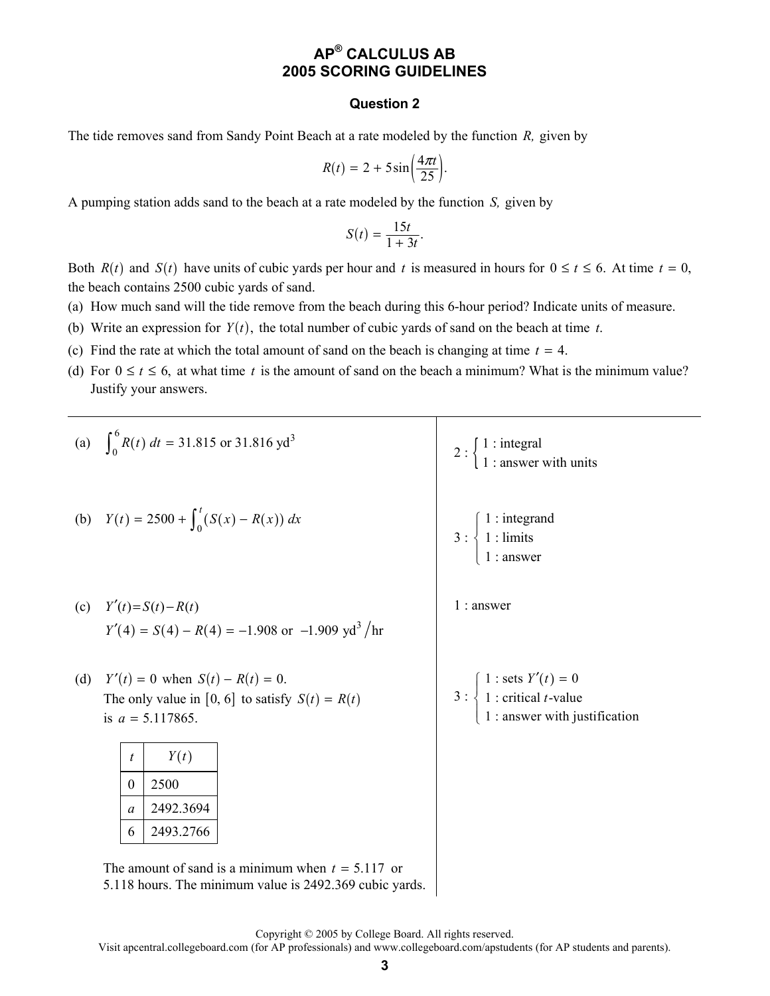#### **Question 2**

The tide removes sand from Sandy Point Beach at a rate modeled by the function *R,* given by

$$
R(t) = 2 + 5\sin\left(\frac{4\pi t}{25}\right).
$$

A pumping station adds sand to the beach at a rate modeled by the function *S,* given by

$$
S(t) = \frac{15t}{1+3t}.
$$

Both  $R(t)$  and  $S(t)$  have units of cubic yards per hour and t is measured in hours for  $0 \le t \le 6$ . At time  $t = 0$ , the beach contains 2500 cubic yards of sand.

- (a) How much sand will the tide remove from the beach during this 6-hour period? Indicate units of measure.
- (b) Write an expression for  $Y(t)$ , the total number of cubic yards of sand on the beach at time *t*.
- (c) Find the rate at which the total amount of sand on the beach is changing at time  $t = 4$ .
- (d) For  $0 \le t \le 6$ , at what time *t* is the amount of sand on the beach a minimum? What is the minimum value? Justify your answers.

|     |                  |                                                             | (a) $\int_{0}^{6} R(t) dt = 31.815$ or 31.816 yd <sup>3</sup>  | 2 : $\begin{cases} 1 : \text{integral} \\ 1 : \text{answer with units} \end{cases}$                                                       |  |  |  |
|-----|------------------|-------------------------------------------------------------|----------------------------------------------------------------|-------------------------------------------------------------------------------------------------------------------------------------------|--|--|--|
|     |                  |                                                             | (b) $Y(t) = 2500 + \int_0^t (S(x) - R(x)) dx$                  | 3 : $\begin{cases} 1 : \text{integrand} \\ 1 : \text{limits} \\ 1 : \text{answer} \end{cases}$                                            |  |  |  |
|     |                  | (c) $Y'(t) = S(t) - R(t)$                                   | $Y'(4) = S(4) - R(4) = -1.908$ or $-1.909$ yd <sup>3</sup> /hr | $1:$ answer                                                                                                                               |  |  |  |
| (d) |                  | $Y'(t) = 0$ when $S(t) - R(t) = 0$ .<br>is $a = 5.117865$ . | The only value in [0, 6] to satisfy $S(t) = R(t)$              | 3 : $\begin{cases} 1 : \text{sets } Y'(t) = 0 \\ 1 : \text{critical } t\text{-value} \\ 1 : \text{answer with justification} \end{cases}$ |  |  |  |
|     | t                | Y(t)                                                        |                                                                |                                                                                                                                           |  |  |  |
|     | $\mathbf{0}$     | 2500                                                        |                                                                |                                                                                                                                           |  |  |  |
|     | $\boldsymbol{a}$ | 2492.3694                                                   |                                                                |                                                                                                                                           |  |  |  |
|     | 6                | 2493.2766                                                   |                                                                |                                                                                                                                           |  |  |  |
|     |                  |                                                             | The amount of sand is a minimum when $t = 5.117$ or            |                                                                                                                                           |  |  |  |

5.118 hours. The minimum value is 2492.369 cubic yards.

Copyright © 2005 by College Board. All rights reserved.

Visit apcentral.collegeboard.com (for AP professionals) and www.collegeboard.com/apstudents (for AP students and parents).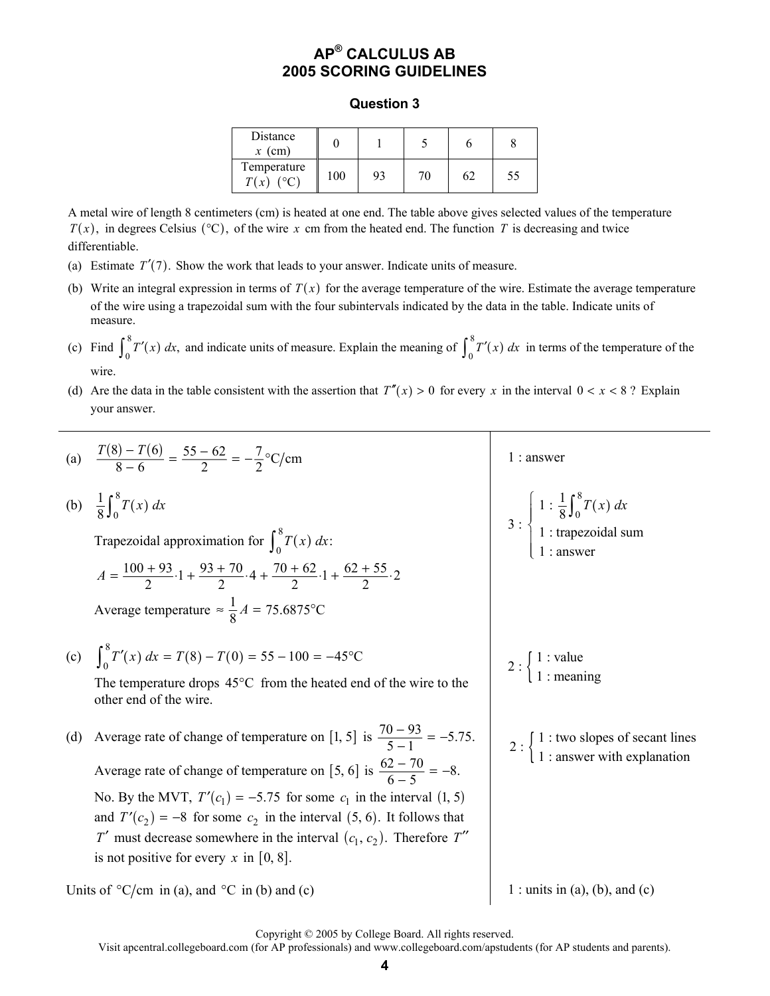#### **Question 3**

| Distance<br>$x$ (cm)        |     |    |     |    |    |
|-----------------------------|-----|----|-----|----|----|
| Temperature<br>T(x)<br>(°C) | 100 | 93 | 76. | 62 | 55 |

A metal wire of length 8 centimeters (cm) is heated at one end. The table above gives selected values of the temperature  $T(x)$ , in degrees Celsius ( ${}^{\circ}$ C), of the wire x cm from the heated end. The function T is decreasing and twice differentiable.

- (a) Estimate  $T'(7)$ . Show the work that leads to your answer. Indicate units of measure.
- (b) Write an integral expression in terms of  $T(x)$  for the average temperature of the wire. Estimate the average temperature of the wire using a trapezoidal sum with the four subintervals indicated by the data in the table. Indicate units of measure.
- (c) Find  $\int_{0}^{8} T'(x)$  $\int_0^8 T'(x) dx$ , and indicate units of measure. Explain the meaning of  $\int_0^8 T'(x) dx$  $\int_0^{\infty} T'(x) dx$  in terms of the temperature of the wire.
- (d) Are the data in the table consistent with the assertion that  $T''(x) > 0$  for every x in the interval  $0 < x < 8$ ? Explain your answer.



Copyright © 2005 by College Board. All rights reserved.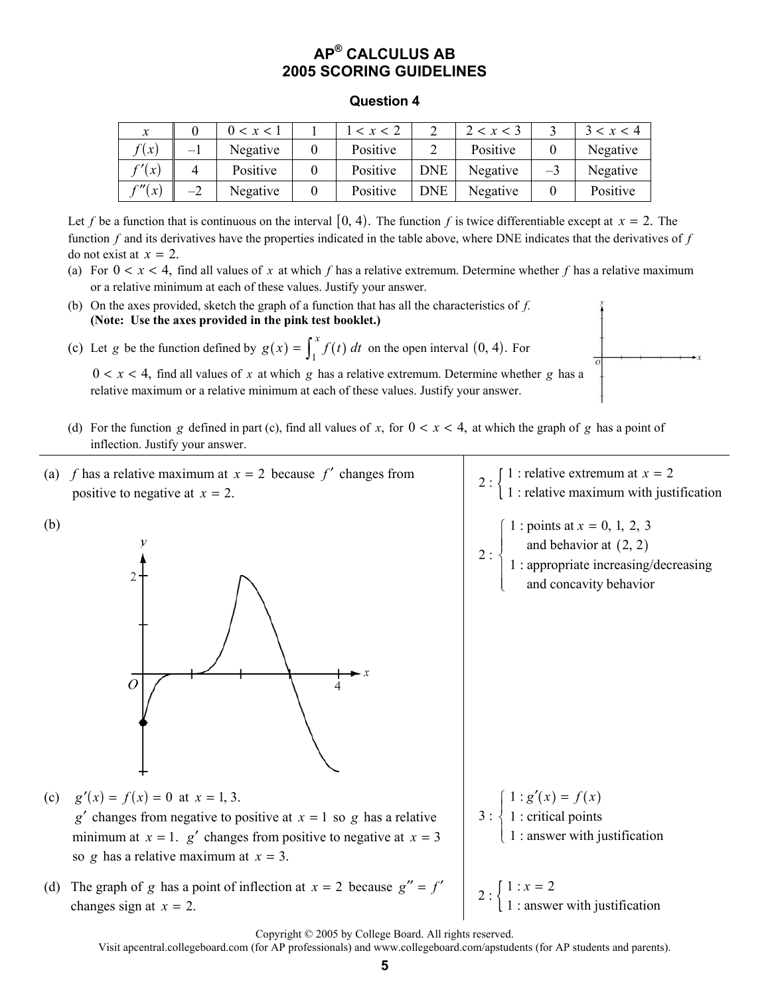#### **Question 4**

| $\boldsymbol{x}$ |      | 0 < x < 1 | < x < 2  |            | 2 < x < 3 |      | 3 < x < 4 |
|------------------|------|-----------|----------|------------|-----------|------|-----------|
| f(x)             | $-1$ | Negative  | Positive |            | Positive  |      | Negative  |
| f'(x)            |      | Positive  | Positive | <b>DNE</b> | Negative  | $-3$ | Negative  |
| $\int x$         | $-2$ | Negative  | Positive | <b>DNE</b> | Negative  |      | Positive  |

Let f be a function that is continuous on the interval  $[0, 4)$ . The function f is twice differentiable except at  $x = 2$ . The function *f* and its derivatives have the properties indicated in the table above, where DNE indicates that the derivatives of *f* do not exist at  $x = 2$ .

- (a) For  $0 < x < 4$ , find all values of x at which f has a relative extremum. Determine whether f has a relative maximum or a relative minimum at each of these values. Justify your answer.
- (b) On the axes provided, sketch the graph of a function that has all the characteristics of *f*. **(Note: Use the axes provided in the pink test booklet.)**

(c) Let *g* be the function defined by  $g(x) = \int_1^x f(t) dt$  on the open interval  $(0, 4)$ . For

 $0 < x < 4$ , find all values of x at which g has a relative extremum. Determine whether g has a relative maximum or a relative minimum at each of these values. Justify your answer.

- (d) For the function *g* defined in part (c), find all values of *x*, for  $0 < x < 4$ , at which the graph of *g* has a point of inflection. Justify your answer.
- (a) *f* has a relative maximum at  $x = 2$  because *f'* changes from *f* has a relative maximum at  $x = 2$  because  $f'$  changes from <br>positive to negative at  $x = 2$ .<br> $\begin{cases} 1 : \text{relative extremum at } x = 2 \\ 1 : \text{relative maximum with justification} \end{cases}$
- (b)



 $x =$ 

 $2:\begin{cases} \text{and behavior at } (2, 2) \end{cases}$  $\int 1$ : points at  $x = 0, 1, 2, 3$ 1 : appropriate increasing/decreasing and concavity behavior  $\overline{\phantom{a}}$ ⎨  $\frac{1}{2}$  $\overline{\mathsf{I}}$ 

(c)  $g'(x) = f(x) = 0$  at  $x = 1, 3$ . *g*<sup> $\prime$ </sup> changes from negative to positive at  $x = 1$  so *g* has a relative minimum at  $x = 1$ .  $g'$  changes from positive to negative at  $x = 3$ 

so *g* has a relative maximum at  $x = 3$ .

(d) The graph of *g* has a point of inflection at  $x = 2$  because  $g'' = f'$   $\begin{bmatrix} 1 : x = 2 \\ 1 : \text{answer} \end{bmatrix}$ 

3 :  $1 : g'(x) = f(x)$  1 : critical points 1 : answer with justification  $\int_0^1 f(x) \, dx = f(x)$ ⎨  $\overline{\mathcal{L}}$ 

1 : answer with justification  $x =$ 

Copyright © 2005 by College Board. All rights reserved.

Visit apcentral.collegeboard.com (for AP professionals) and www.collegeboard.com/apstudents (for AP students and parents).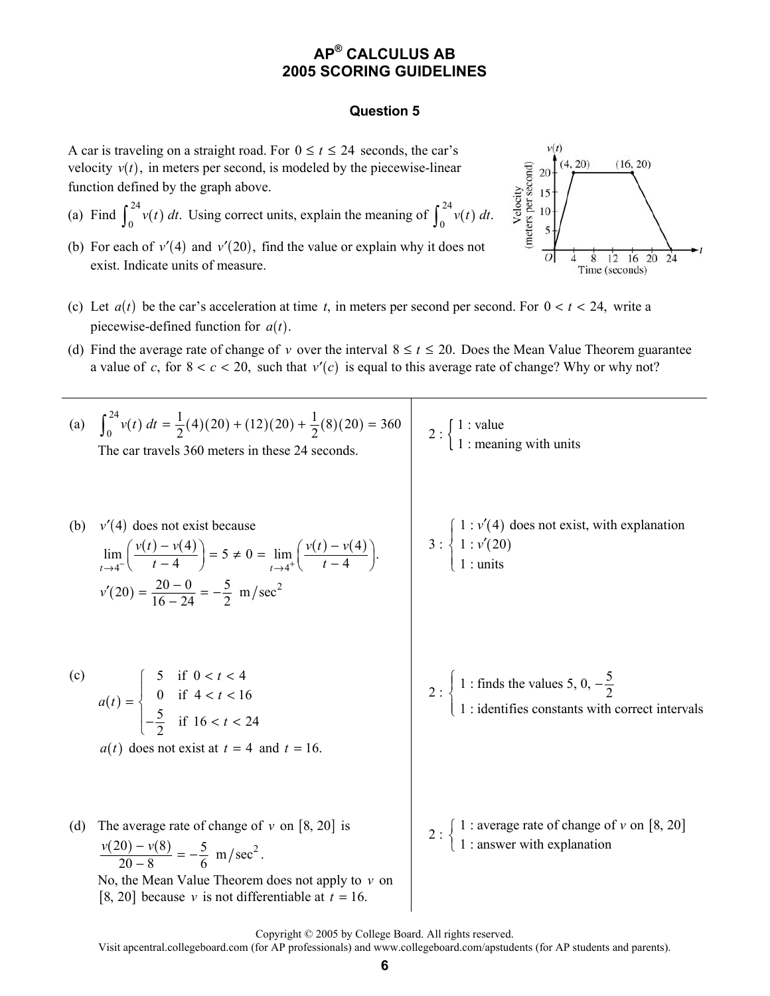### **Question 5**

A car is traveling on a straight road. For  $0 \le t \le 24$  seconds, the car's velocity  $v(t)$ , in meters per second, is modeled by the piecewise-linear function defined by the graph above.

- (a) Find  $\int_{0}^{24} v(t)$  $\int_0^{24} v(t) dt$ . Using correct units, explain the meaning of  $\int_0^{24} v(t)$  $\int_0^{2\pi} v(t) dt$ .
- (b) For each of  $v'(4)$  and  $v'(20)$ , find the value or explain why it does not exist. Indicate units of measure.



- (c) Let  $a(t)$  be the car's acceleration at time t, in meters per second per second. For  $0 < t < 24$ , write a piecewise-defined function for  $a(t)$ .
- (d) Find the average rate of change of *v* over the interval  $8 \le t \le 20$ . Does the Mean Value Theorem guarantee a value of *c*, for  $8 < c < 20$ , such that  $v'(c)$  is equal to this average rate of change? Why or why not?

(a)  $\int_{0}^{24} v(t) dt = \frac{1}{2}(4)(20) + (12)(20) + \frac{1}{2}(8)(20)$  $\int_0^{24} v(t) dt = \frac{1}{2}(4)(20) + (12)(20) + \frac{1}{2}(8)(20) = 360$ The car travels 360 meters in these 24 seconds. 2 :  $\begin{cases} 1 : \text{value} \\ 1 : \text{meaning with units} \end{cases}$ (b)  $v'(4)$  does not exist because  $(v(t) - v(4))$  = 5 + 0 = lim  $(v(t) - v(4))$  $4^{-}$   $\left(\begin{array}{cc} l - 4 \end{array}\right)$   $t \rightarrow 4$  $\lim_{t \to \infty} \left( \frac{v(t) - v(4)}{t} \right) = 5 \neq 0 = \lim_{t \to \infty} \left( \frac{v(t) - v(4)}{t} \right).$  $\lim_{t \to 4^-}$   $t - 4$   $\Big)^{-5}$   $\Big($   $t - 4$   $\Big)^{+1}$   $t - 4$  $v(t) - v(4)$   $\qquad \qquad v(t) - v$  $\lim_{t \to 4^{-}} \left( \frac{v(t) - v(4)}{t - 4} \right) = 5 \neq 0 = \lim_{t \to 4^{+}} \left( \frac{v(t) - v(4)}{t - 4} \right)$  $v'(20) = \frac{20 - 0}{16 - 24} = -\frac{5}{2}$  *m*/sec<sup>2</sup> 3 :  $\left( 4\right)$  $\left( 20\right)$  $1 : v'(4)$  does not exist, with explanation  $1 : v'(20)$  1 : units *v*  $\left\{ \begin{array}{l} 1:\nu' \ 1:\nu' \end{array} \right.$  $\left\{ \begin{array}{l} 1:\nu' \end{array} \right.$  $\overline{\mathcal{L}}$ (c)  $(t)$ 5 if  $0 < t < 4$ 0 if  $4 < t < 16$  $\frac{5}{2}$  if 16 < t < 24 *t*  $a(t) = \begin{cases} 0 & \text{if } 4 < t \end{cases}$ *t*  $\begin{bmatrix} 5 & \text{if } 0 < t \end{bmatrix}$  $=\begin{cases} 0 & \text{if } 4 < t < \end{cases}$  $\left\lfloor -\frac{5}{2} \right\rfloor$  if 16 < t <  $a(t)$  does not exist at  $t = 4$  and  $t = 16$ .  $2:\begin{cases} 1:$  finds the values 5, 0,  $-\frac{5}{2}$  1 : identifies constants with correct intervals  $\left\{ 1 : \text{finds the values } 5, 0, - \right\}$  $\overline{\mathfrak{r}}$ (d) The average rate of change of  $v$  on [8, 20] is  $\frac{v(20) - v(8)}{20 - 8} = -\frac{5}{6}$  m/sec<sup>2</sup>. No, the Mean Value Theorem does not apply to *v* on [8, 20] because  $\nu$  is not differentiable at  $t = 16$ . 2 :  $\begin{cases} 1 : \text{average rate of change of } v \text{ on } [8, 20] \\ 1 : \text{answer with explanation} \end{cases}$ 

Copyright © 2005 by College Board. All rights reserved.

Visit apcentral.collegeboard.com (for AP professionals) and www.collegeboard.com/apstudents (for AP students and parents).